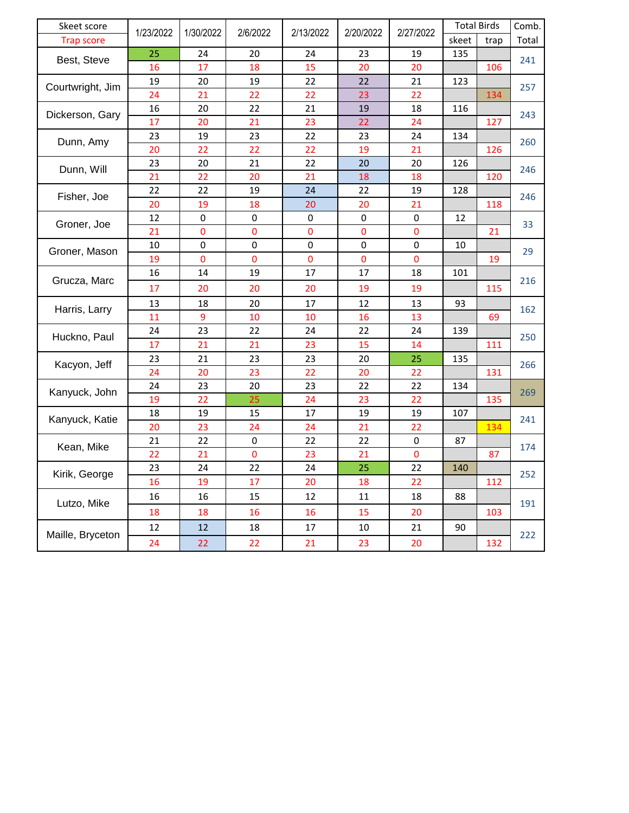| Skeet score       | 1/23/2022 | 1/30/2022      | 2/6/2022       | 2/13/2022      | 2/20/2022      | 2/27/2022      | <b>Total Birds</b> |      | Comb. |
|-------------------|-----------|----------------|----------------|----------------|----------------|----------------|--------------------|------|-------|
| <b>Trap score</b> |           |                |                |                |                |                | skeet              | trap | Total |
| Best, Steve       | 25        | 24             | 20             | 24             | 23             | 19             | 135                |      | 241   |
|                   | 16        | 17             | 18             | 15             | 20             | 20             |                    | 106  |       |
| Courtwright, Jim  | 19        | 20             | 19             | 22             | 22             | 21             | 123                |      | 257   |
|                   | 24        | 21             | 22             | 22             | 23             | 22             |                    | 134  |       |
| Dickerson, Gary   | 16        | 20             | 22             | 21             | 19             | 18             | 116                |      | 243   |
|                   | 17        | 20             | 21             | 23             | 22             | 24             |                    | 127  |       |
| Dunn, Amy         | 23        | 19             | 23             | 22             | 23             | 24             | 134                |      | 260   |
|                   | 20        | 22             | 22             | 22             | 19             | 21             |                    | 126  |       |
| Dunn, Will        | 23        | 20             | 21             | 22             | 20             | 20             | 126                |      | 246   |
|                   | 21        | 22             | 20             | 21             | 18             | 18             |                    | 120  |       |
| Fisher, Joe       | 22        | 22             | 19             | 24             | 22             | 19             | 128                |      | 246   |
|                   | 20        | 19             | 18             | 20             | 20             | 21             |                    | 118  |       |
| Groner, Joe       | 12        | 0              | $\pmb{0}$      | 0              | 0              | $\pmb{0}$      | 12                 |      | 33    |
|                   | 21        | $\pmb{0}$      | 0              | 0              | $\pmb{0}$      | 0              |                    | 21   |       |
| Groner, Mason     | 10        | 0              | $\mathbf 0$    | $\mathbf 0$    | $\mathbf 0$    | 0              | 10                 |      | 29    |
|                   | 19        | $\overline{0}$ | $\overline{0}$ | $\overline{0}$ | $\overline{0}$ | $\overline{0}$ |                    | 19   |       |
|                   | 16        | 14             | 19             | 17             | 17             | 18             | 101                |      | 216   |
| Grucza, Marc      | 17        | 20             | 20             | 20             | 19             | 19             |                    | 115  |       |
| Harris, Larry     | 13        | 18             | 20             | 17             | 12             | 13             | 93                 |      | 162   |
|                   | 11        | 9              | 10             | 10             | 16             | 13             |                    | 69   |       |
|                   | 24        | 23             | 22             | 24             | 22             | 24             | 139                |      | 250   |
| Huckno, Paul      | 17        | 21             | 21             | 23             | 15             | 14             |                    | 111  |       |
| Kacyon, Jeff      | 23        | 21             | 23             | 23             | 20             | 25             | 135                |      | 266   |
|                   | 24        | 20             | 23             | 22             | 20             | 22             |                    | 131  |       |
| Kanyuck, John     | 24        | 23             | 20             | 23             | 22             | 22             | 134                |      | 269   |
|                   | 19        | 22             | 25             | 24             | 23             | 22             |                    | 135  |       |
| Kanyuck, Katie    | 18        | 19             | 15             | 17             | 19             | 19             | 107                |      | 241   |
|                   | 20        | 23             | 24             | 24             | 21             | 22             |                    | 134  |       |
| Kean, Mike        | 21        | 22             | $\pmb{0}$      | 22             | 22             | $\pmb{0}$      | 87                 |      | 174   |
|                   | 22        | 21             | 0              | 23             | 21             | 0              |                    | 87   |       |
| Kirik, George     | 23        | 24             | 22             | 24             | 25             | 22             | 140                |      | 252   |
|                   | 16        | 19             | 17             | 20             | 18             | 22             |                    | 112  |       |
| Lutzo, Mike       | 16        | 16             | 15             | 12             | 11             | 18             | 88                 |      | 191   |
|                   | 18        | 18             | 16             | 16             | 15             | 20             |                    | 103  |       |
| Maille, Bryceton  | 12        | 12             | 18             | 17             | 10             | 21             | 90                 |      | 222   |
|                   | 24        | 22             | 22             | 21             | 23             | 20             |                    | 132  |       |